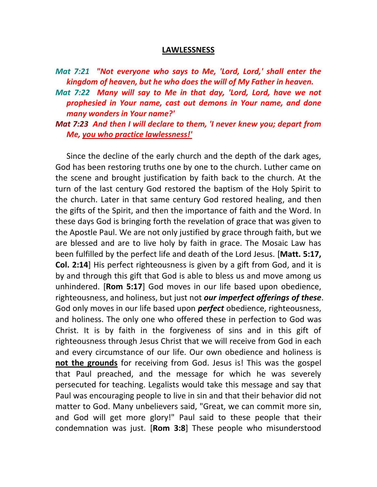#### **LAWLESSNESS**

- *Mat 7:21 "Not everyone who says to Me, 'Lord, Lord,' shall enter the kingdom of heaven, but he who does the will of My Father in heaven.*
- *Mat 7:22 Many will say to Me in that day, 'Lord, Lord, have we not prophesied in Your name, cast out demons in Your name, and done many wonders in Your name?'*
- *Mat 7:23 And then I will declare to them, 'I never knew you; depart from Me, you who practice lawlessness!'*

Since the decline of the early church and the depth of the dark ages, God has been restoring truths one by one to the church. Luther came on the scene and brought justification by faith back to the church. At the turn of the last century God restored the baptism of the Holy Spirit to the church. Later in that same century God restored healing, and then the gifts of the Spirit, and then the importance of faith and the Word. In these days God is bringing forth the revelation of grace that was given to the Apostle Paul. We are not only justified by grace through faith, but we are blessed and are to live holy by faith in grace. The Mosaic Law has been fulfilled by the perfect life and death of the Lord Jesus. [**Matt. 5:17, Col. 2:14**] His perfect righteousness is given by a gift from God, and it is by and through this gift that God is able to bless us and move among us unhindered. [**Rom 5:17**] God moves in our life based upon obedience, righteousness, and holiness, but just not *our imperfect offerings of these*. God only moves in our life based upon *perfect* obedience, righteousness, and holiness. The only one who offered these in perfection to God was Christ. It is by faith in the forgiveness of sins and in this gift of righteousness through Jesus Christ that we will receive from God in each and every circumstance of our life. Our own obedience and holiness is **not the grounds** for receiving from God. Jesus is! This was the gospel that Paul preached, and the message for which he was severely persecuted for teaching. Legalists would take this message and say that Paul was encouraging people to live in sin and that their behavior did not matter to God. Many unbelievers said, "Great, we can commit more sin, and God will get more glory!" Paul said to these people that their condemnation was just. [**Rom 3:8**] These people who misunderstood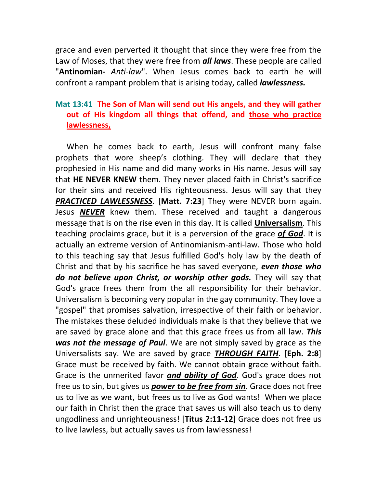grace and even perverted it thought that since they were free from the Law of Moses, that they were free from *all laws*. These people are called "**Antinomian-** *Anti-law*". When Jesus comes back to earth he will confront a rampant problem that is arising today, called *lawlessness.*

# **Mat 13:41 The Son of Man will send out His angels, and they will gather out of His kingdom all things that offend, and those who practice lawlessness,**

When he comes back to earth, Jesus will confront many false prophets that wore sheep's clothing. They will declare that they prophesied in His name and did many works in His name. Jesus will say that **HE NEVER KNEW** them. They never placed faith in Christ's sacrifice for their sins and received His righteousness. Jesus will say that they *PRACTICED LAWLESSNESS*. [**Matt. 7:23**] They were NEVER born again. Jesus *NEVER* knew them. These received and taught a dangerous message that is on the rise even in this day. It is called **Universalism**. This teaching proclaims grace, but it is a perversion of the grace *of God*. It is actually an extreme version of Antinomianism-anti-law. Those who hold to this teaching say that Jesus fulfilled God's holy law by the death of Christ and that by his sacrifice he has saved everyone, *even those who do not believe upon Christ, or worship other gods.* They will say that God's grace frees them from the all responsibility for their behavior. Universalism is becoming very popular in the gay community. They love a "gospel" that promises salvation, irrespective of their faith or behavior. The mistakes these deluded individuals make is that they believe that we are saved by grace alone and that this grace frees us from all law. *This was not the message of Paul*. We are not simply saved by grace as the Universalists say. We are saved by grace *THROUGH FAITH*. [**Eph. 2:8**] Grace must be received by faith. We cannot obtain grace without faith. Grace is the unmerited favor *and ability of God*. God's grace does not free us to sin, but gives us *power to be free from sin*. Grace does not free us to live as we want, but frees us to live as God wants! When we place our faith in Christ then the grace that saves us will also teach us to deny ungodliness and unrighteousness! [**Titus 2:11-12**] Grace does not free us to live lawless, but actually saves us from lawlessness!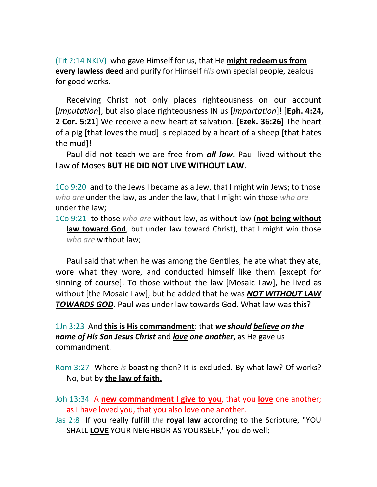(Tit 2:14 NKJV) who gave Himself for us, that He **might redeem us from every lawless deed** and purify for Himself *His* own special people, zealous for good works.

Receiving Christ not only places righteousness on our account [*imputation*], but also place righteousness IN us [*impartation*]! [**Eph. 4:24, 2 Cor. 5:21**] We receive a new heart at salvation. [**Ezek. 36:26**] The heart of a pig [that loves the mud] is replaced by a heart of a sheep [that hates the mud]!

Paul did not teach we are free from *all law*. Paul lived without the Law of Moses **BUT HE DID NOT LIVE WITHOUT LAW**.

1Co 9:20 and to the Jews I became as a Jew, that I might win Jews; to those *who are* under the law, as under the law, that I might win those *who are* under the law;

1Co 9:21 to those *who are* without law, as without law (**not being without law toward God**, but under law toward Christ), that I might win those *who are* without law;

Paul said that when he was among the Gentiles, he ate what they ate, wore what they wore, and conducted himself like them [except for sinning of course]. To those without the law [Mosaic Law], he lived as without [the Mosaic Law], but he added that he was *NOT WITHOUT LAW TOWARDS GOD*. Paul was under law towards God. What law was this?

1Jn 3:23 And **this is His commandment**: that *we should believe on the name of His Son Jesus Christ* and *love one another*, as He gave us commandment.

Rom 3:27 Where *is* boasting then? It is excluded. By what law? Of works? No, but by **the law of faith.**

Joh 13:34 A **new commandment I give to you**, that you **love** one another; as I have loved you, that you also love one another.

Jas 2:8 If you really fulfill *the* **royal law** according to the Scripture, "YOU SHALL **LOVE** YOUR NEIGHBOR AS YOURSELF," you do well;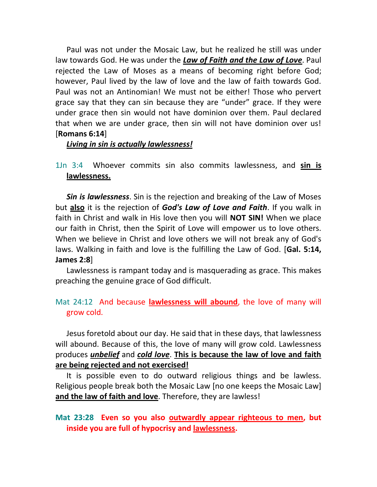Paul was not under the Mosaic Law, but he realized he still was under law towards God. He was under the *Law of Faith and the Law of Love*. Paul rejected the Law of Moses as a means of becoming right before God; however, Paul lived by the law of love and the law of faith towards God. Paul was not an Antinomian! We must not be either! Those who pervert grace say that they can sin because they are "under" grace. If they were under grace then sin would not have dominion over them. Paul declared that when we are under grace, then sin will not have dominion over us! [**Romans 6:14**]

#### *Living in sin is actually lawlessness!*

1Jn 3:4 Whoever commits sin also commits lawlessness, and **sin is lawlessness.**

*Sin is lawlessness*. Sin is the rejection and breaking of the Law of Moses but **also** it is the rejection of *God's Law of Love and Faith*. If you walk in faith in Christ and walk in His love then you will **NOT SIN!** When we place our faith in Christ, then the Spirit of Love will empower us to love others. When we believe in Christ and love others we will not break any of God's laws. Walking in faith and love is the fulfilling the Law of God. [**Gal. 5:14, James 2:8**]

Lawlessness is rampant today and is masquerading as grace. This makes preaching the genuine grace of God difficult.

### Mat 24:12 And because **lawlessness will abound**, the love of many will grow cold.

Jesus foretold about our day. He said that in these days, that lawlessness will abound. Because of this, the love of many will grow cold. Lawlessness produces *unbelief* and *cold love*. **This is because the law of love and faith are being rejected and not exercised!** 

It is possible even to do outward religious things and be lawless. Religious people break both the Mosaic Law [no one keeps the Mosaic Law] **and the law of faith and love**. Therefore, they are lawless!

## **Mat 23:28 Even so you also outwardly appear righteous to men, but inside you are full of hypocrisy and lawlessness.**